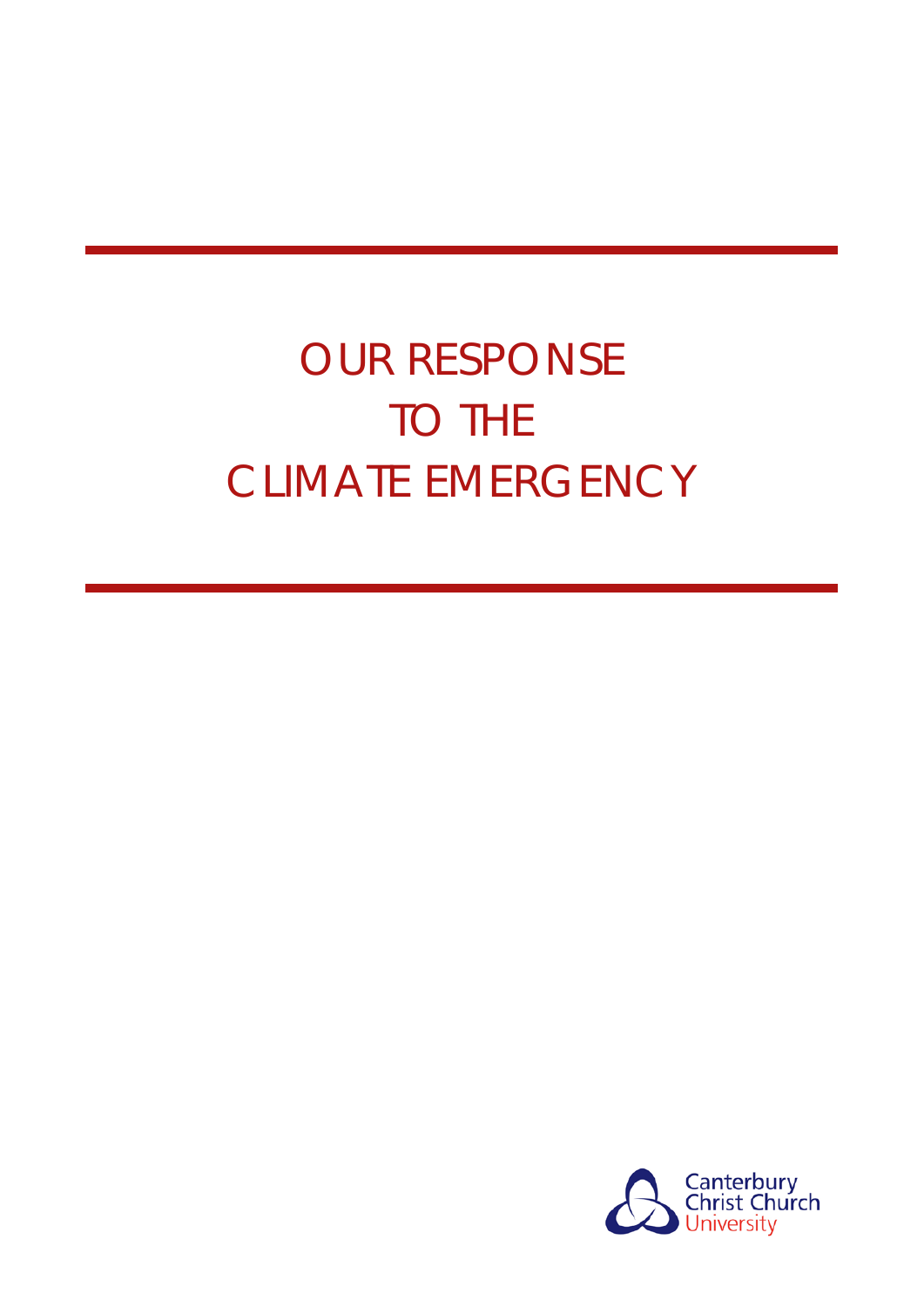# OUR RESPONSE TO THE CLIMATE EMERGENCY

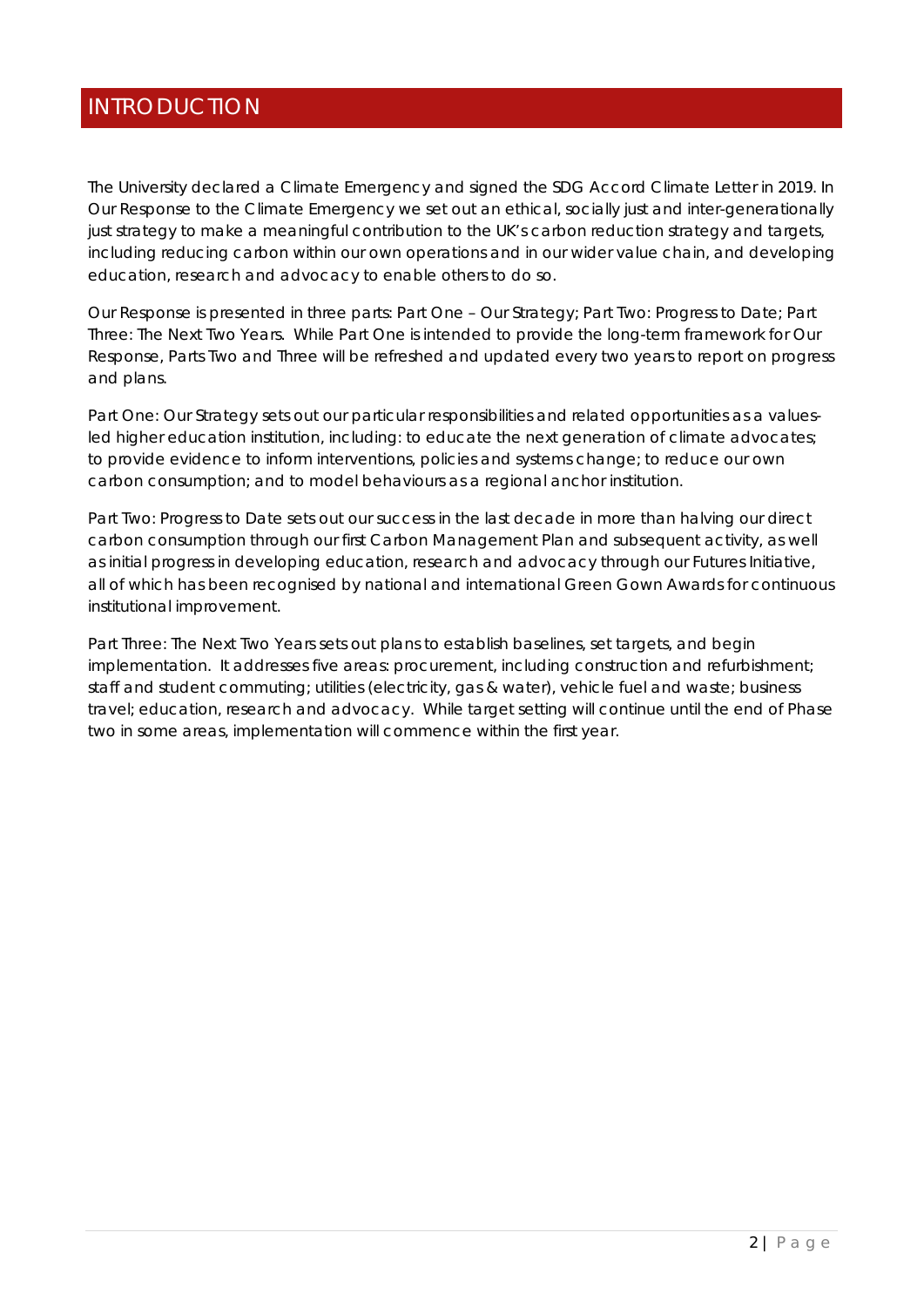# INTRODUCTION

The University declared a Climate Emergency and signed the SDG Accord Climate Letter in 2019. In *Our Response to the Climate Emergency* we set out an ethical, socially just and inter-generationally just strategy to make a meaningful contribution to the UK's carbon reduction strategy and targets, including reducing carbon within our own operations and in our wider value chain, and developing education, research and advocacy to enable others to do so.

*Our Response* is presented in three parts: Part One – Our Strategy; Part Two: Progress to Date; Part Three: The Next Two Years. While Part One is intended to provide the long-term framework for *Our Response*, Parts Two and Three will be refreshed and updated every two years to report on progress and plans.

*Part One: Our Strategy* sets out our particular responsibilities and related opportunities as a valuesled higher education institution, including: to educate the next generation of climate advocates; to provide evidence to inform interventions, policies and systems change; to reduce our own carbon consumption; and to model behaviours as a regional anchor institution.

*Part Two: Progress to Date* sets out our success in the last decade in more than halving our direct carbon consumption through our first Carbon Management Plan and subsequent activity, as well as initial progress in developing education, research and advocacy through our Futures Initiative, all of which has been recognised by national and international *Green Gown Awards* for continuous institutional improvement.

*Part Three: The Next Two Years* sets out plans to establish baselines, set targets, and begin implementation. It addresses five areas: procurement, including construction and refurbishment; staff and student commuting; utilities (electricity, gas & water), vehicle fuel and waste; business travel; education, research and advocacy. While target setting will continue until the end of Phase two in some areas, implementation will commence within the first year.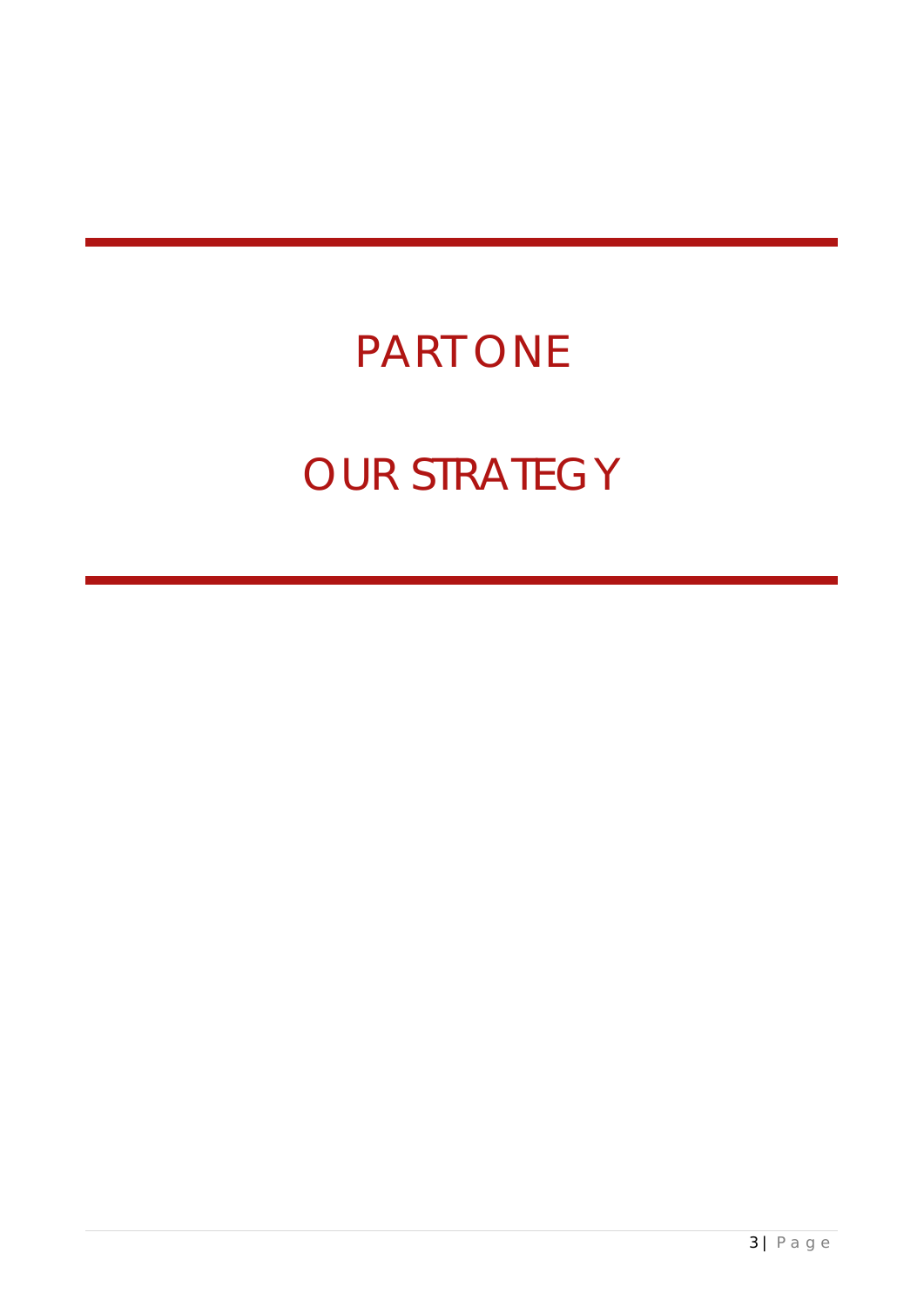# PART ONE OUR STRATEGY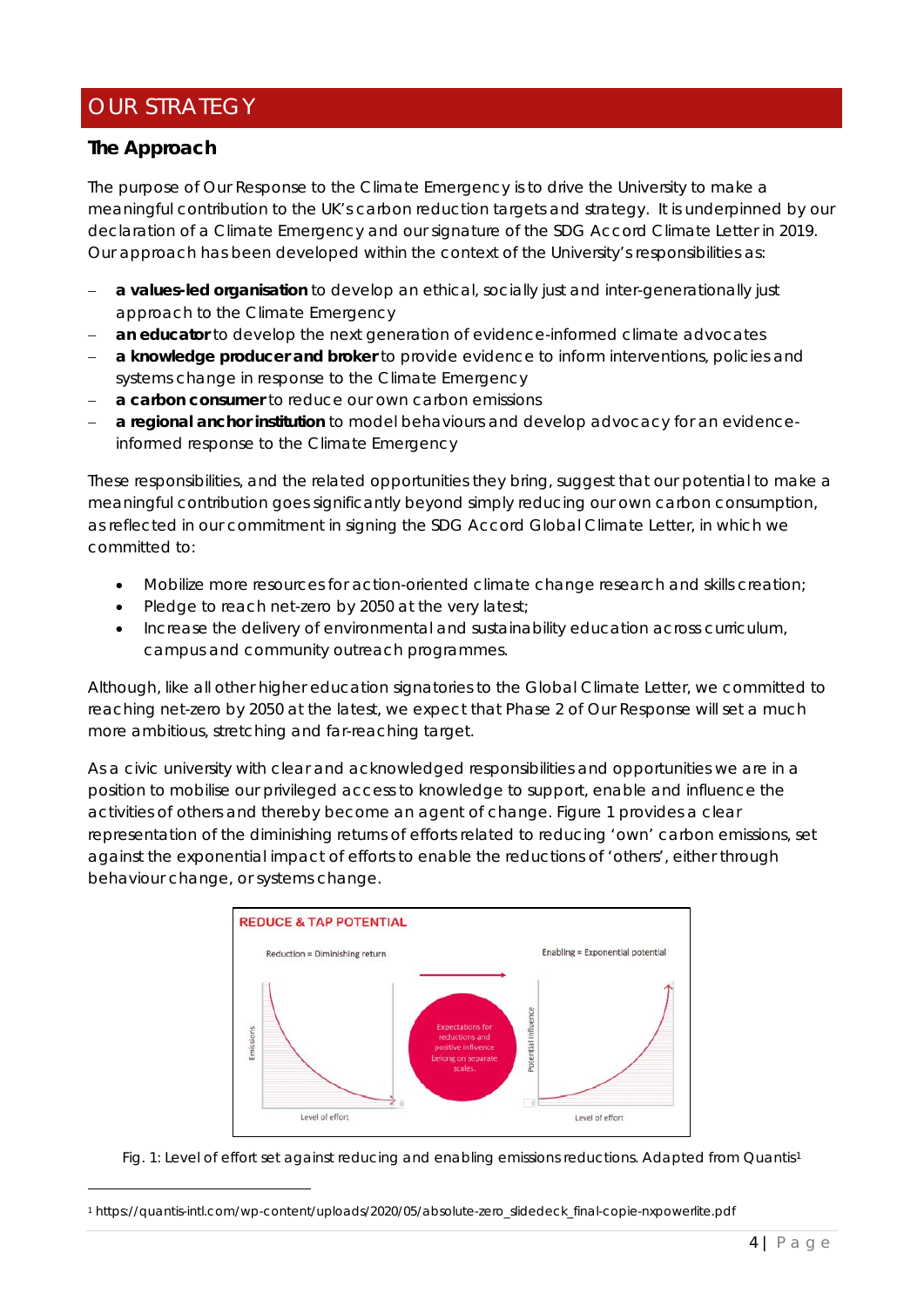# OUR STRATEGY

# *The Approach*

The purpose of *Our Response to the Climate Emergency* is to drive the University to make a meaningful contribution to the UK's carbon reduction targets and strategy. It is underpinned by our declaration of a Climate Emergency and our signature of the SDG Accord Climate Letter in 2019. Our approach has been developed within the context of the University's responsibilities as:

- − *a values-led organisation* to develop an ethical, socially just and inter-generationally just approach to the Climate Emergency
- an educator to develop the next generation of evidence-informed climate advocates
- **a knowledge producer and broker** to provide evidence to inform interventions, policies and systems change in response to the Climate Emergency
- − **a** *carbon consumer* to reduce our own carbon emissions
- − **a** *regional anchor institution* to model behaviours and develop advocacy for an evidenceinformed response to the Climate Emergency

These responsibilities, and the related opportunities they bring, suggest that our potential to make a meaningful contribution goes significantly beyond simply reducing our own carbon consumption, as reflected in our commitment in signing the SDG Accord Global Climate Letter, in which we committed to:

- Mobilize more resources for action-oriented climate change research and skills creation;
- Pledge to reach net-zero by 2050 at the very latest;
- Increase the delivery of environmental and sustainability education across curriculum, campus and community outreach programmes.

Although, like all other higher education signatories to the Global Climate Letter, we committed to reaching net-zero by 2050 at the latest, we expect that Phase 2 of *Our Response* will set a much more ambitious, stretching and far-reaching target.

As a civic university with clear and acknowledged responsibilities and opportunities we are in a position to mobilise our privileged access to knowledge to support, enable and influence the activities of others and thereby become an agent of change. Figure 1 provides a clear representation of the diminishing returns of efforts related to reducing 'own' carbon emissions, set against the exponential impact of efforts to enable the reductions of 'others', either through behaviour change, or systems change.



Fig. [1](#page-3-0): Level of effort set against reducing and enabling emissions reductions. Adapted from Quantis<sup>1</sup>

<span id="page-3-0"></span><sup>1</sup> https://quantis-intl.com/wp-content/uploads/2020/05/absolute-zero\_slidedeck\_final-copie-nxpowerlite.pdf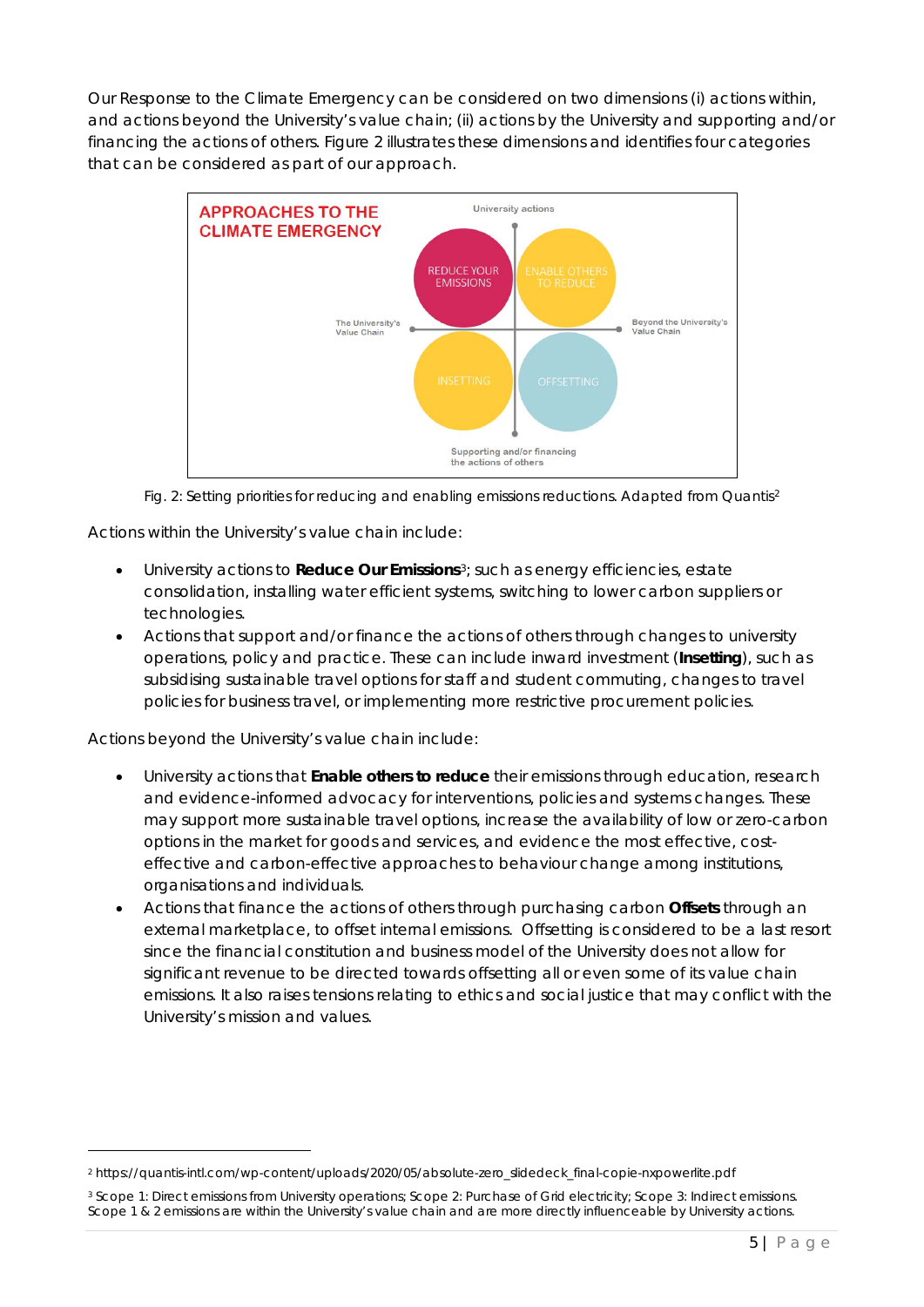*Our Response to the Climate Emergency* can be considered on two dimensions (i) actions within, and actions beyond the University's value chain; (ii) actions by the University and supporting and/or financing the actions of others. Figure 2 illustrates these dimensions and identifies four categories that can be considered as part of our approach.





Actions within the University's value chain include:

- *University actions* to **Reduce Our Emissions**[3](#page-4-1); such as energy efficiencies, estate consolidation, installing water efficient systems, switching to lower carbon suppliers or technologies.
- *Actions that support and/or finance the actions of others* through changes to university operations, policy and practice. These can include inward investment (**Insetting**), such as subsidising sustainable travel options for staff and student commuting, changes to travel policies for business travel, or implementing more restrictive procurement policies.

Actions beyond the University's value chain include:

- *University actions* that **Enable others to reduce** their emissions through education, research and evidence-informed advocacy for interventions, policies and systems changes. These may support more sustainable travel options, increase the availability of low or zero-carbon options in the market for goods and services, and evidence the most effective, costeffective and carbon-effective approaches to behaviour change among institutions, organisations and individuals.
- *Actions that finance the actions of others* through purchasing carbon **Offsets** through an external marketplace, to offset internal emissions. Offsetting is considered to be a last resort since the financial constitution and business model of the University does not allow for significant revenue to be directed towards offsetting all or even some of its value chain emissions. It also raises tensions relating to ethics and social justice that may conflict with the University's mission and values.

<span id="page-4-0"></span><sup>2</sup> https://quantis-intl.com/wp-content/uploads/2020/05/absolute-zero\_slidedeck\_final-copie-nxpowerlite.pdf

<span id="page-4-1"></span><sup>&</sup>lt;sup>3</sup> Scope 1: Direct emissions from University operations; Scope 2: Purchase of Grid electricity; Scope 3: Indirect emissions. Scope 1 & 2 emissions are within the University's value chain and are more directly influenceable by University actions.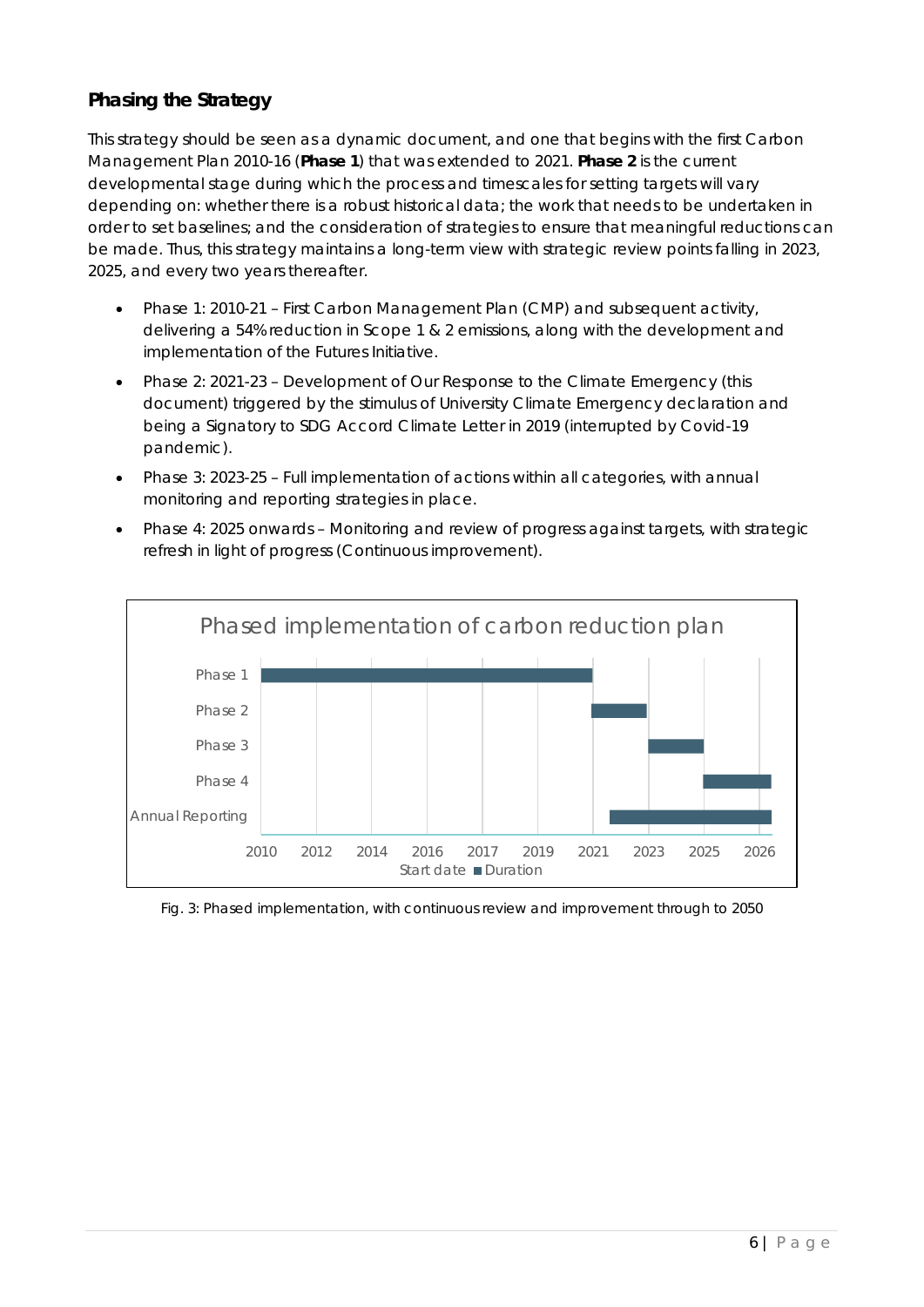# *Phasing the Strategy*

This strategy should be seen as a dynamic document, and one that begins with the first Carbon Management Plan 2010-16 (**Phase 1**) that was extended to 2021. **Phase 2** is the current developmental stage during which the process and timescales for setting targets will vary depending on: whether there is a robust historical data; the work that needs to be undertaken in order to set baselines; and the consideration of strategies to ensure that meaningful reductions can be made. Thus, this strategy maintains a long-term view with strategic review points falling in 2023, 2025, and every two years thereafter.

- Phase 1: 2010-21 First Carbon Management Plan (CMP) and subsequent activity, delivering a 54% reduction in Scope 1 & 2 emissions, along with the development and implementation of the *Futures Initiative.*
- Phase 2: 2021-23 Development of *Our Response to the Climate Emergency* (this document) triggered by the stimulus of University Climate Emergency declaration and being a Signatory to SDG Accord Climate Letter in 2019 (interrupted by Covid-19 pandemic).
- Phase 3: 2023-25 Full implementation of actions within all categories, with annual monitoring and reporting strategies in place.
- Phase 4: 2025 onwards Monitoring and review of progress against targets, with strategic refresh in light of progress (Continuous improvement).



#### Fig. 3: Phased implementation, with continuous review and improvement through to 2050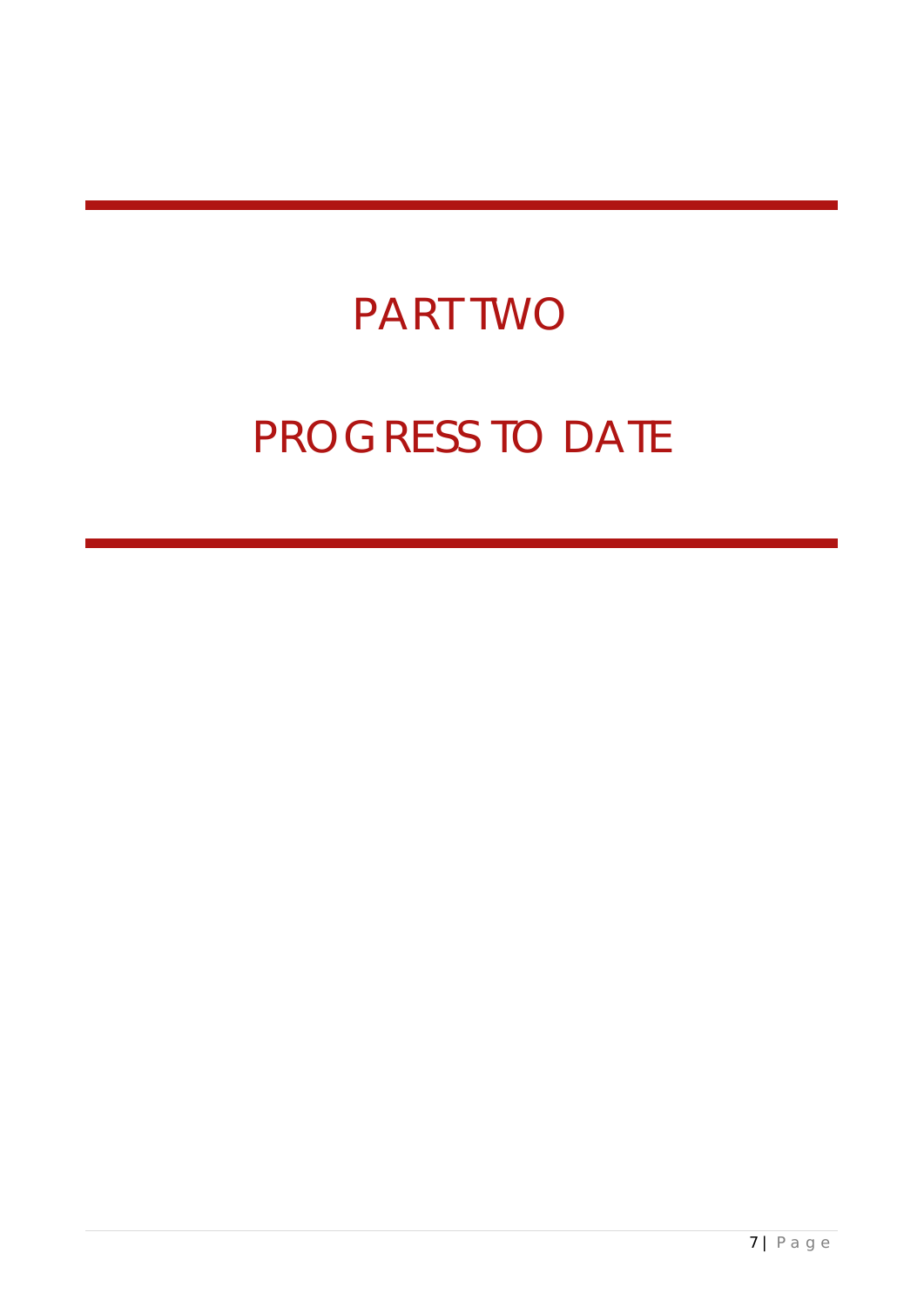# PART TWO

# PROGRESS TO DATE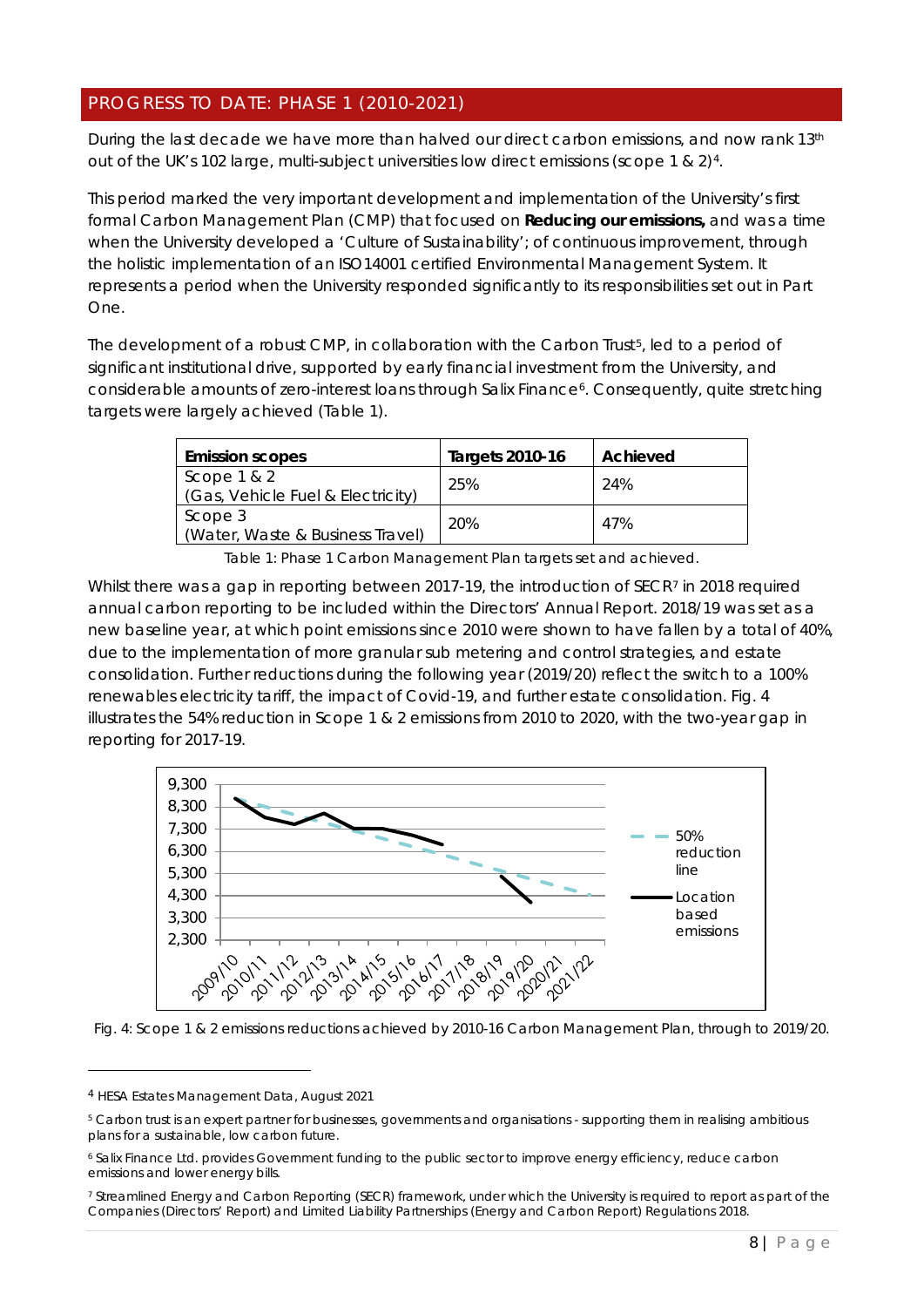# PROGRESS TO DATE: PHASE 1 (2010-2021)

During the last decade we have more than halved our direct carbon emissions, and now rank 13<sup>th</sup> out of the UK's 102 large, multi-subject universities low direct emissions (scope 1 & 2)[4](#page-7-0).

This period marked the very important development and implementation of the University's first formal Carbon Management Plan (CMP) that focused on **Reducing our emissions,** and was a time when the University developed a 'Culture of Sustainability'; of continuous improvement, through the holistic implementation of an ISO14001 certified Environmental Management System. It represents a period when the University responded significantly to its responsibilities set out in Part One.

The development of a robust CMP, in collaboration with the Carbon Trust<sup>[5](#page-7-1)</sup>, led to a period of significant institutional drive, supported by early financial investment from the University, and considerable amounts of zero-interest loans through Salix Finance<sup>6</sup>. Consequently, quite stretching targets were largely achieved (Table 1).

| <b>Emission scopes</b>                             | <b>Targets 2010-16</b> | Achieved |
|----------------------------------------------------|------------------------|----------|
| Scope $1 & 2$<br>(Gas, Vehicle Fuel & Electricity) | 25%                    | 24%      |
| Scope 3<br>(Water, Waste & Business Travel)        | 20%                    | 47%      |

Table 1: Phase 1 Carbon Management Plan targets set and achieved.

Whilst there was a gap in reporting between 201[7](#page-7-3)-19, the introduction of SECR7 in 2018 required annual carbon reporting to be included within the Directors' Annual Report. 2018/19 was set as a new baseline year, at which point emissions since 2010 were shown to have fallen by a total of 40%, due to the implementation of more granular sub metering and control strategies, and estate consolidation. Further reductions during the following year (2019/20) reflect the switch to a 100% renewables electricity tariff, the impact of Covid-19, and further estate consolidation. Fig. 4 illustrates the 54% reduction in Scope 1 & 2 emissions from 2010 to 2020, with the two-year gap in reporting for 2017-19.



Fig. 4: Scope 1 & 2 emissions reductions achieved by 2010-16 Carbon Management Plan, through to 2019/20.

<span id="page-7-0"></span><sup>4</sup> HESA Estates Management Data, August 2021

<span id="page-7-1"></span><sup>5</sup> Carbon trust is an expert partner for businesses, governments and organisations - supporting them in realising ambitious plans for a sustainable, low carbon future.

<span id="page-7-2"></span><sup>6</sup> Salix Finance Ltd. provides Government funding to the public sector to improve energy efficiency, reduce carbon emissions and lower energy bills.

<span id="page-7-3"></span><sup>7</sup> Streamlined Energy and Carbon Reporting (SECR) framework, under which the University is required to report as part of the Companies (Directors' Report) and Limited Liability Partnerships (Energy and Carbon Report) Regulations 2018.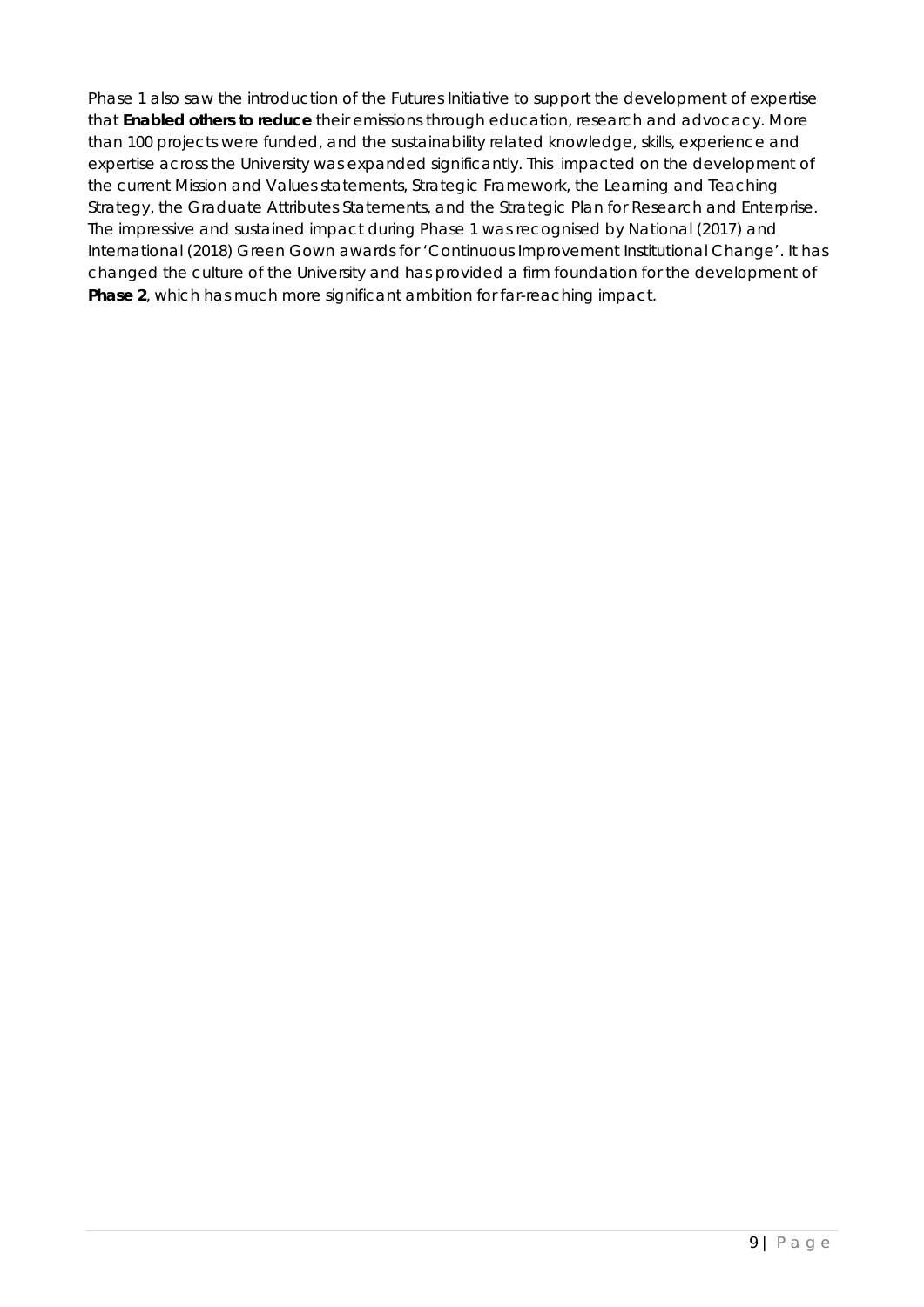Phase 1 also saw the introduction of the *Futures Initiative* to support the development of expertise that **Enabled others to reduce** their emissions through education, research and advocacy. More than 100 projects were funded, and the sustainability related knowledge, skills, experience and expertise across the University was expanded significantly. This impacted on the development of the current Mission and Values statements, Strategic Framework, the Learning and Teaching Strategy, the Graduate Attributes Statements, and the Strategic Plan for Research and Enterprise. The impressive and sustained impact during Phase 1 was recognised by National (2017) and International (2018) Green Gown awards for 'Continuous Improvement Institutional Change'. It has changed the culture of the University and has provided a firm foundation for the development of **Phase 2**, which has much more significant ambition for far-reaching impact.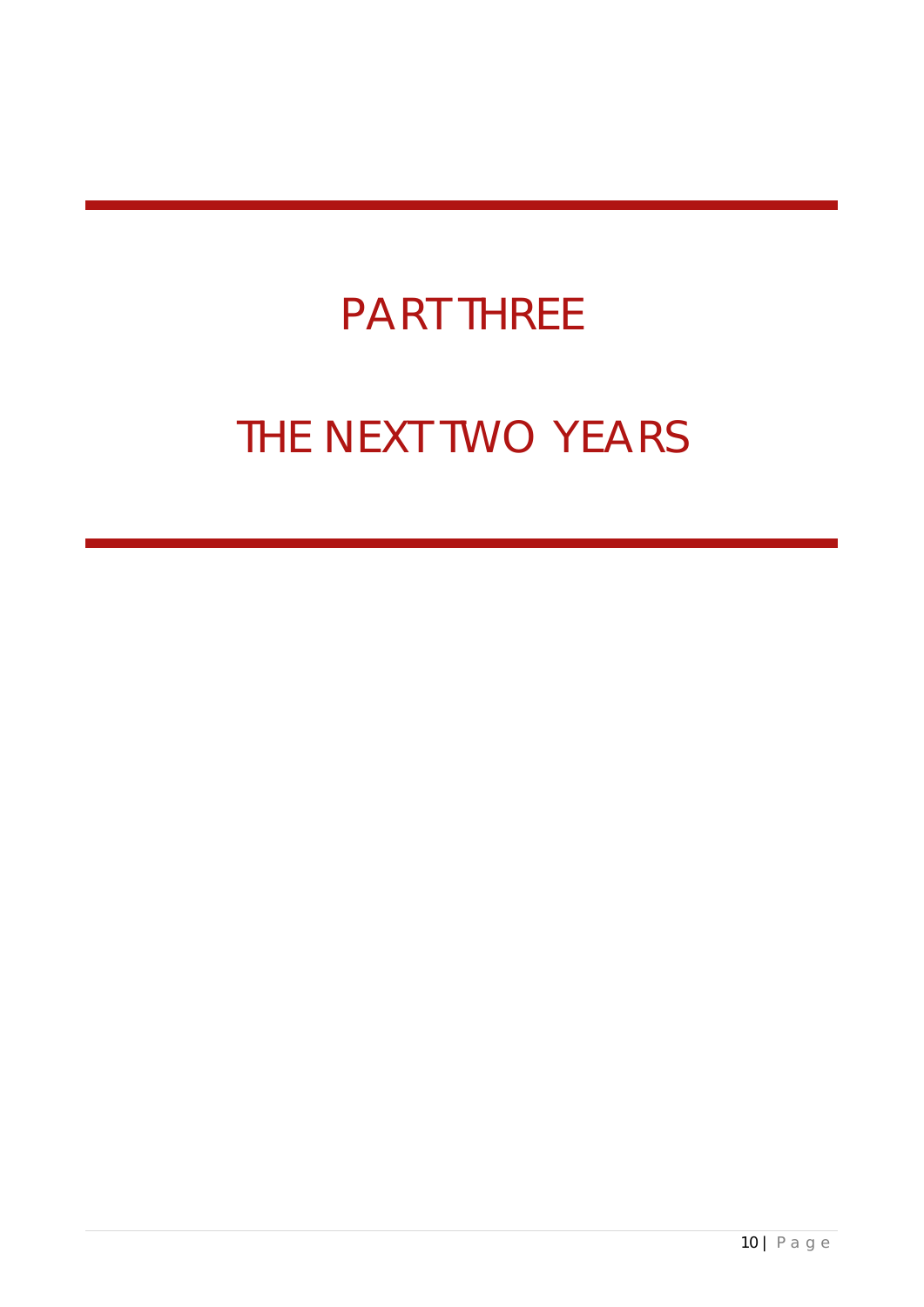# PART THREE

# THE NEXT TWO YEARS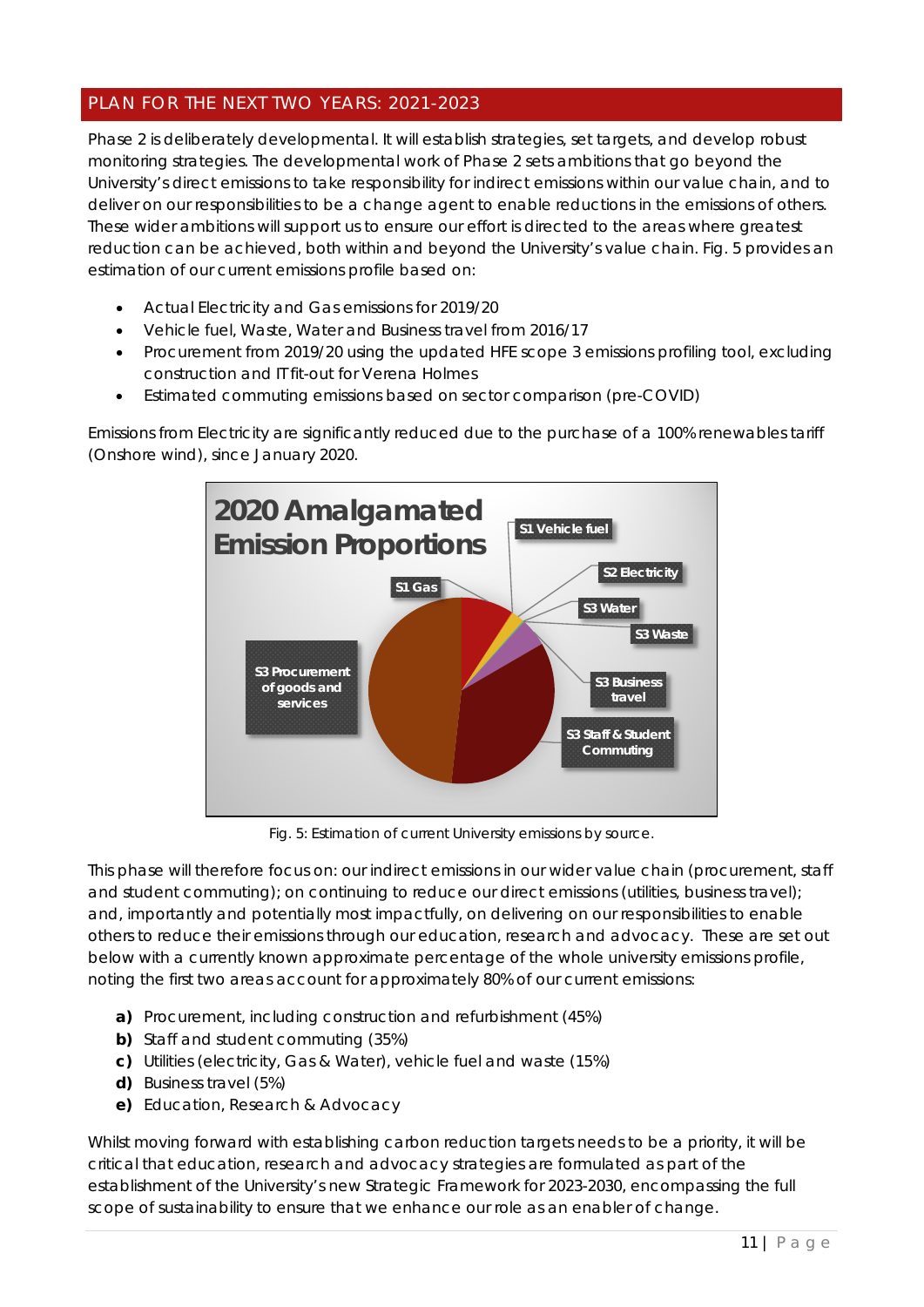# PLAN FOR THE NEXT TWO YEARS: 2021-2023

Phase 2 is deliberately developmental. It will establish strategies, set targets, and develop robust monitoring strategies. The developmental work of Phase 2 sets ambitions that go beyond the University's direct emissions to take responsibility for indirect emissions within our value chain, and to deliver on our responsibilities to be a change agent to enable reductions in the emissions of others. These wider ambitions will support us to ensure our effort is directed to the areas where greatest reduction can be achieved, both within and beyond the University's value chain. Fig. 5 provides an estimation of our current emissions profile based on:

- Actual Electricity and Gas emissions for 2019/20
- Vehicle fuel, Waste, Water and Business travel from 2016/17
- Procurement from 2019/20 using the updated HFE scope 3 emissions profiling tool, excluding construction and IT fit-out for Verena Holmes
- Estimated commuting emissions based on sector comparison (pre-COVID)

Emissions from Electricity are significantly reduced due to the purchase of a 100% renewables tariff (Onshore wind), since January 2020.



Fig. 5: Estimation of current University emissions by source.

This phase will therefore focus on: our indirect emissions in our wider value chain (procurement, staff and student commuting); on continuing to reduce our direct emissions (utilities, business travel); and, importantly and potentially most impactfully, on delivering on our responsibilities to enable others to reduce their emissions through our education, research and advocacy. These are set out below with a currently known approximate percentage of the whole university emissions profile, noting the first two areas account for approximately 80% of our current emissions:

- **a)** Procurement, including construction and refurbishment (45%)
- **b)** Staff and student commuting (35%)
- **c)** Utilities (electricity, Gas & Water), vehicle fuel and waste (15%)
- **d)** Business travel (5%)
- **e)** Education, Research & Advocacy

Whilst moving forward with establishing carbon reduction targets needs to be a priority, it will be critical that education, research and advocacy strategies are formulated as part of the establishment of the University's new Strategic Framework for 2023-2030, encompassing the full scope of sustainability to ensure that we enhance our role as an enabler of change.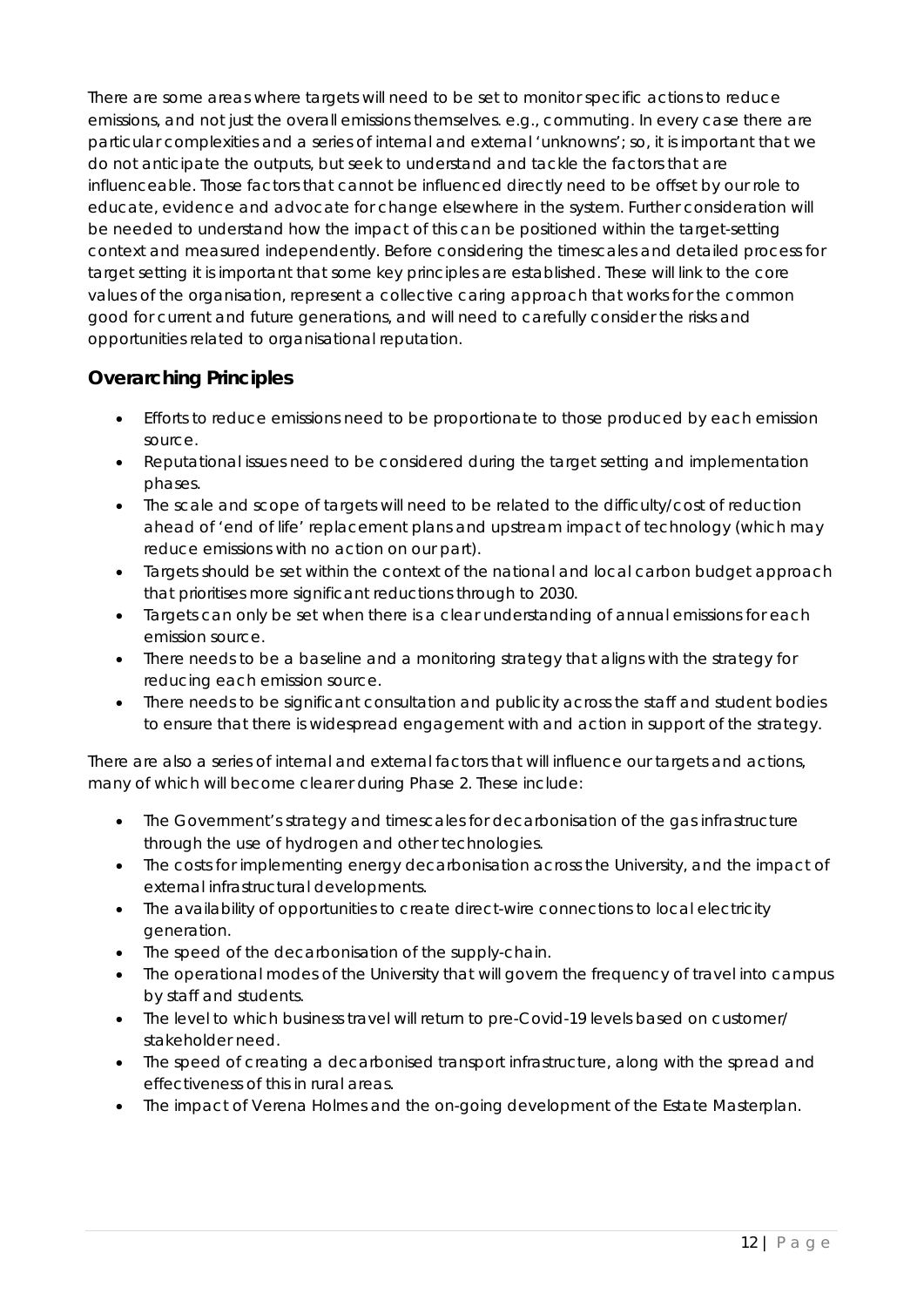There are some areas where targets will need to be set to monitor specific actions to reduce emissions, and not just the overall emissions themselves. e.g., commuting. In every case there are particular complexities and a series of internal and external 'unknowns'; so, it is important that we do not anticipate the outputs, but seek to understand and tackle the factors that are influenceable. Those factors that cannot be influenced directly need to be offset by our role to educate, evidence and advocate for change elsewhere in the system. Further consideration will be needed to understand how the impact of this can be positioned within the target-setting context and measured independently. Before considering the timescales and detailed process for target setting it is important that some key principles are established. These will link to the core values of the organisation, represent a collective caring approach that works for the common good for current and future generations, and will need to carefully consider the risks and opportunities related to organisational reputation.

# *Overarching Principles*

- Efforts to reduce emissions need to be proportionate to those produced by each emission source.
- Reputational issues need to be considered during the target setting and implementation phases.
- The scale and scope of targets will need to be related to the difficulty/cost of reduction ahead of 'end of life' replacement plans and upstream impact of technology (which may reduce emissions with no action on our part).
- Targets should be set within the context of the national and local carbon budget approach that prioritises more significant reductions through to 2030.
- Targets can only be set when there is a clear understanding of annual emissions for each emission source.
- There needs to be a baseline and a monitoring strategy that aligns with the strategy for reducing each emission source.
- There needs to be significant consultation and publicity across the staff and student bodies to ensure that there is widespread engagement with and action in support of the strategy.

There are also a series of internal and external factors that will influence our targets and actions, many of which will become clearer during Phase 2. These include:

- The Government's strategy and timescales for decarbonisation of the gas infrastructure through the use of hydrogen and other technologies.
- The costs for implementing energy decarbonisation across the University, and the impact of external infrastructural developments.
- The availability of opportunities to create direct-wire connections to local electricity generation.
- The speed of the decarbonisation of the supply-chain.
- The operational modes of the University that will govern the frequency of travel into campus by staff and students.
- The level to which business travel will return to pre-Covid-19 levels based on customer/ stakeholder need.
- The speed of creating a decarbonised transport infrastructure, along with the spread and effectiveness of this in rural areas.
- The impact of Verena Holmes and the on-going development of the Estate Masterplan.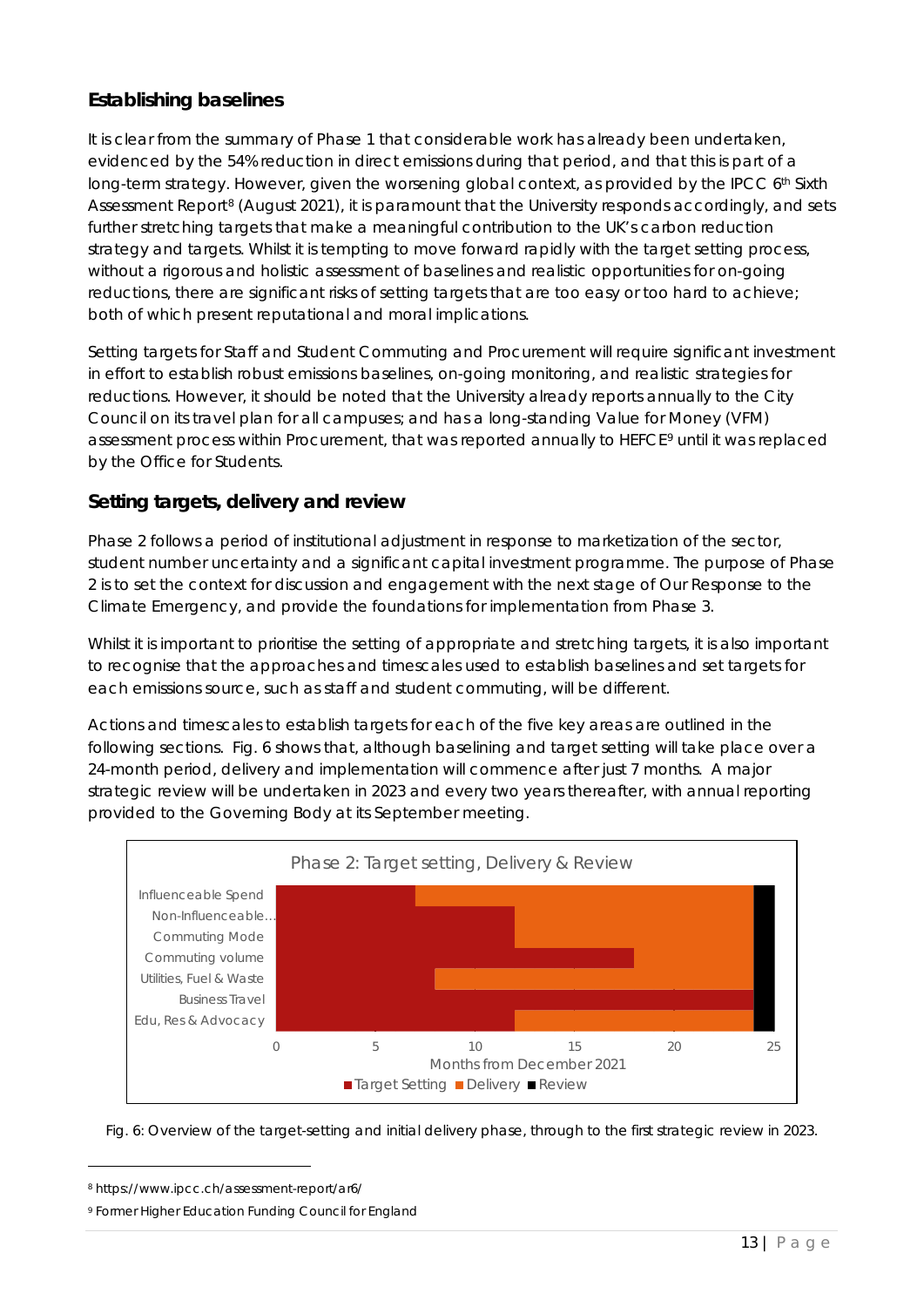# *Establishing baselines*

It is clear from the summary of Phase 1 that considerable work has already been undertaken, evidenced by the 54% reduction in direct emissions during that period, and that this is part of a long-term strategy. However, given the worsening global context, as provided by the IPCC 6th Sixth Assessment Report<sup>[8](#page-12-0)</sup> (August 2021), it is paramount that the University responds accordingly, and sets further stretching targets that make a meaningful contribution to the UK's carbon reduction strategy and targets. Whilst it is tempting to move forward rapidly with the target setting process, without a rigorous and holistic assessment of baselines and realistic opportunities for on-going reductions, there are significant risks of setting targets that are too easy or too hard to achieve; both of which present reputational and moral implications.

Setting targets for Staff and Student Commuting and Procurement will require significant investment in effort to establish robust emissions baselines, on-going monitoring, and realistic strategies for reductions. However, it should be noted that the University already reports annually to the City Council on its travel plan for all campuses; and has a long-standing Value for Money (VFM) assessment process within Procurement, that was reported annually to HEFCE[9](#page-12-1) until it was replaced by the Office for Students.

# *Setting targets, delivery and review*

Phase 2 follows a period of institutional adjustment in response to marketization of the sector, student number uncertainty and a significant capital investment programme. The purpose of Phase 2 is to set the context for discussion and engagement with the next stage *of Our Response to the Climate* Emergency, and provide the foundations for implementation from Phase 3.

Whilst it is important to prioritise the setting of appropriate and stretching targets, it is also important to recognise that the approaches and timescales used to establish baselines and set targets for each emissions source, such as staff and student commuting, will be different.

Actions and timescales to establish targets for each of the five key areas are outlined in the following sections. Fig. 6 shows that, although baselining and target setting will take place over a 24-month period, delivery and implementation will commence after just 7 months. A major strategic review will be undertaken in 2023 and every two years thereafter, with annual reporting provided to the Governing Body at its September meeting.



Fig. 6: Overview of the target-setting and initial delivery phase, through to the first strategic review in 2023.

<span id="page-12-0"></span><sup>8</sup> https://www.ipcc.ch/assessment-report/ar6/

<span id="page-12-1"></span><sup>9</sup> Former Higher Education Funding Council for England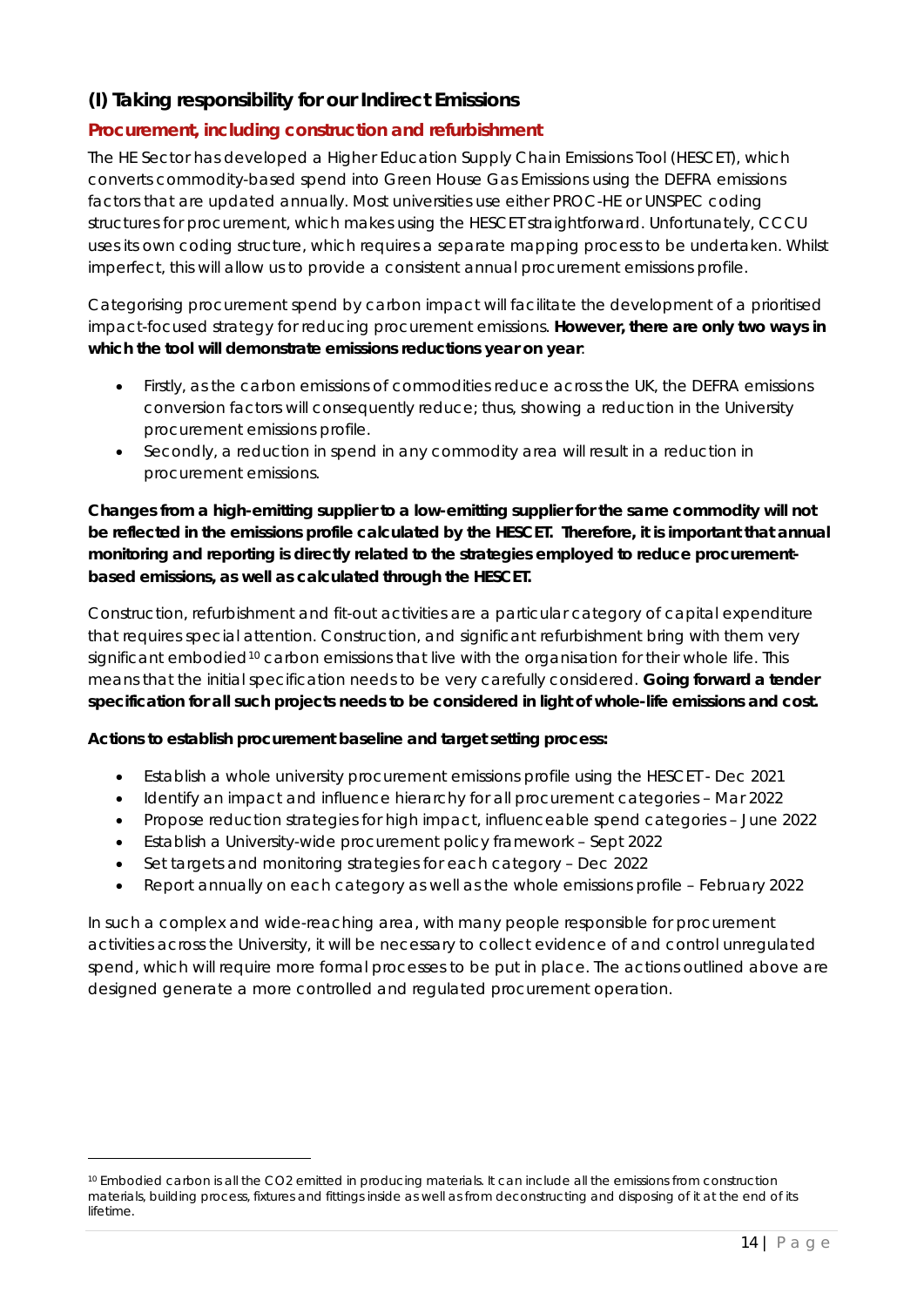# *(I) Taking responsibility for our Indirect Emissions*

# **Procurement, including construction and refurbishment**

The HE Sector has developed a Higher Education Supply Chain Emissions Tool (HESCET), which converts commodity-based spend into Green House Gas Emissions using the DEFRA emissions factors that are updated annually. Most universities use either PROC-HE or UNSPEC coding structures for procurement, which makes using the HESCET straightforward. Unfortunately, CCCU uses its own coding structure, which requires a separate mapping process to be undertaken. Whilst imperfect, this will allow us to provide a consistent annual procurement emissions profile.

Categorising procurement spend by carbon impact will facilitate the development of a prioritised impact-focused strategy for reducing procurement emissions. **However, there are only two ways in which the tool will demonstrate emissions reductions year on year**:

- Firstly, as the carbon emissions of commodities reduce across the UK, the DEFRA emissions conversion factors will consequently reduce; thus, showing a reduction in the University procurement emissions profile.
- Secondly, a reduction in spend in any commodity area will result in a reduction in procurement emissions.

**Changes from a high-emitting supplier to a low-emitting supplier for the same commodity will not be reflected in the emissions profile calculated by the HESCET. Therefore, it is important that annual monitoring and reporting is directly related to the strategies employed to reduce procurementbased emissions, as well as calculated through the HESCET.**

Construction, refurbishment and fit-out activities are a particular category of capital expenditure that requires special attention. Construction, and significant refurbishment bring with them very significant embodied<sup>[10](#page-13-0)</sup> carbon emissions that live with the organisation for their whole life. This means that the initial specification needs to be very carefully considered. **Going forward a tender specification for all such projects needs to be considered in light of whole-life emissions and cost.**

#### *Actions to establish procurement baseline and target setting process:*

- Establish a whole university procurement emissions profile using the HESCET Dec 2021
- Identify an impact and influence hierarchy for all procurement categories Mar 2022
- Propose reduction strategies for high impact, influenceable spend categories June 2022
- Establish a University-wide procurement policy framework Sept 2022
- Set targets and monitoring strategies for each category Dec 2022
- Report annually on each category as well as the whole emissions profile February 2022

In such a complex and wide-reaching area, with many people responsible for procurement activities across the University, it will be necessary to collect evidence of and control unregulated spend, which will require more formal processes to be put in place. The actions outlined above are designed generate a more controlled and regulated procurement operation.

<span id="page-13-0"></span><sup>10</sup> Embodied carbon is all the CO2 emitted in producing materials. It can include all the emissions from construction materials, building process, fixtures and fittings inside as well as from deconstructing and disposing of it at the end of its lifetime.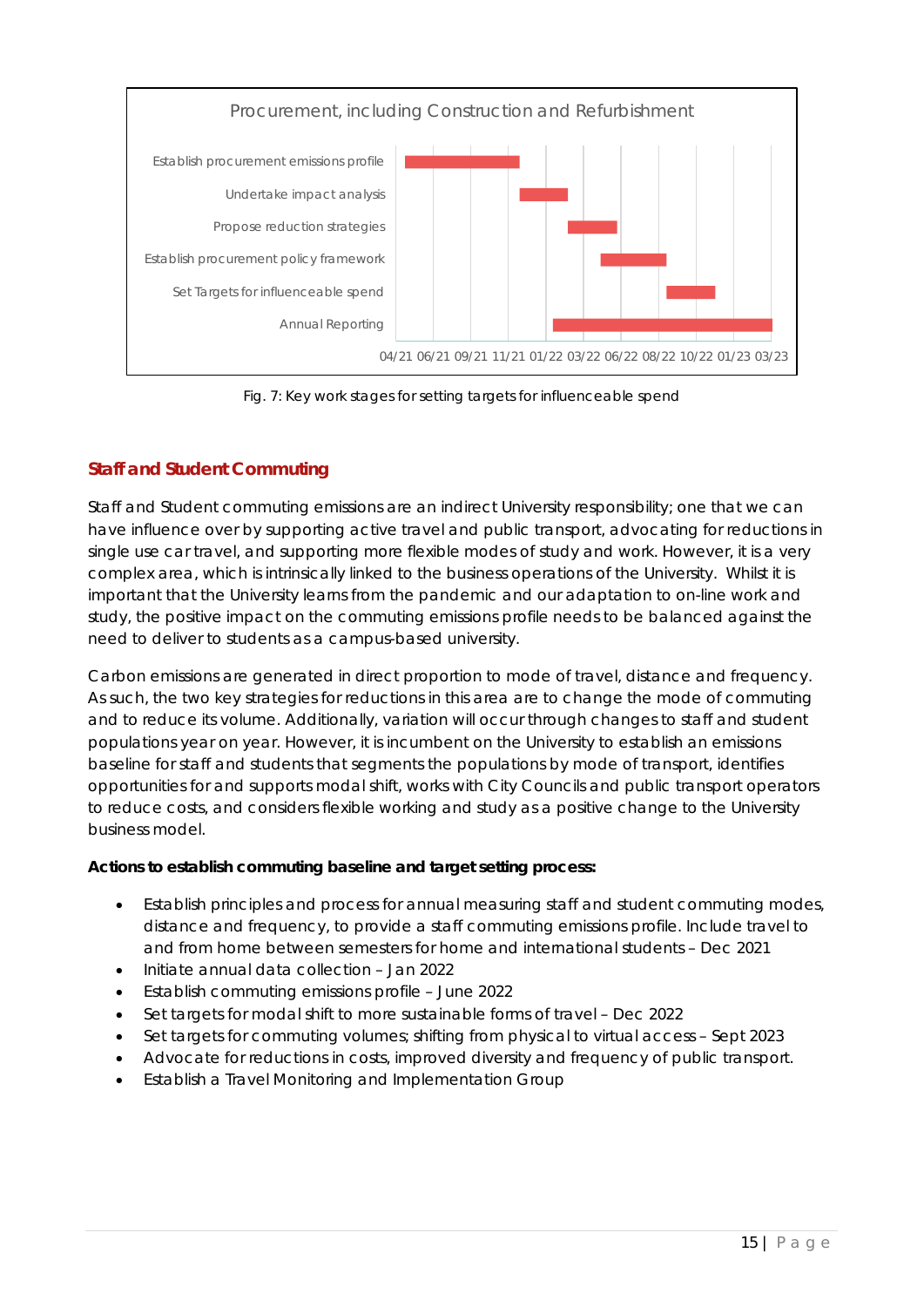

Fig. 7: Key work stages for setting targets for influenceable spend

# **Staff and Student Commuting**

Staff and Student commuting emissions are an indirect University responsibility; one that we can have influence over by supporting active travel and public transport, advocating for reductions in single use car travel, and supporting more flexible modes of study and work. However, it is a very complex area, which is intrinsically linked to the business operations of the University. Whilst it is important that the University learns from the pandemic and our adaptation to on-line work and study, the positive impact on the commuting emissions profile needs to be balanced against the need to deliver to students as a campus-based university.

Carbon emissions are generated in direct proportion to mode of travel, distance and frequency. As such, the two key strategies for reductions in this area are to change the mode of commuting and to reduce its volume. Additionally, variation will occur through changes to staff and student populations year on year. However, it is incumbent on the University to establish an emissions baseline for staff and students that segments the populations by mode of transport, identifies opportunities for and supports modal shift, works with City Councils and public transport operators to reduce costs, and considers flexible working and study as a positive change to the University business model.

### *Actions to establish commuting baseline and target setting process***:**

- Establish principles and process for annual measuring staff and student commuting modes, distance and frequency, to provide a staff commuting emissions profile. Include travel to and from home between semesters for home and international students – Dec 2021
- Initiate annual data collection Jan 2022
- Establish commuting emissions profile June 2022
- Set targets for modal shift to more sustainable forms of travel Dec 2022
- Set targets for commuting volumes; shifting from physical to virtual access Sept 2023
- Advocate for reductions in costs, improved diversity and frequency of public transport.
- Establish a Travel Monitoring and Implementation Group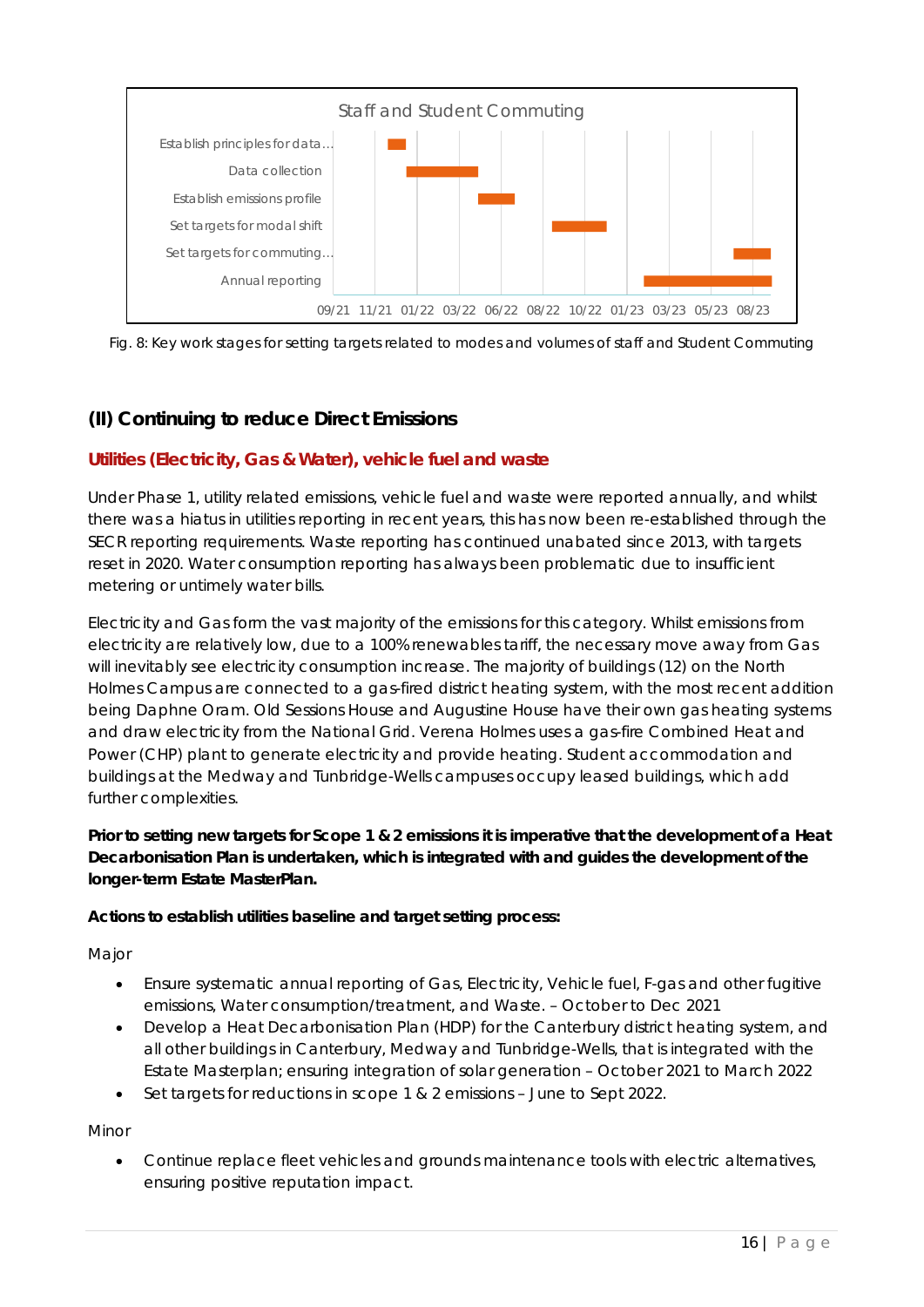



# *(II) Continuing to reduce Direct Emissions*

# **Utilities (Electricity, Gas & Water), vehicle fuel and waste**

Under Phase 1, utility related emissions, vehicle fuel and waste were reported annually, and whilst there was a hiatus in utilities reporting in recent years, this has now been re-established through the SECR reporting requirements. Waste reporting has continued unabated since 2013, with targets reset in 2020. Water consumption reporting has always been problematic due to insufficient metering or untimely water bills.

Electricity and Gas form the vast majority of the emissions for this category. Whilst emissions from electricity are relatively low, due to a 100% renewables tariff, the necessary move away from Gas will inevitably see electricity consumption increase. The majority of buildings (12) on the North Holmes Campus are connected to a gas-fired district heating system, with the most recent addition being Daphne Oram. Old Sessions House and Augustine House have their own gas heating systems and draw electricity from the National Grid. Verena Holmes uses a gas-fire Combined Heat and Power (CHP) plant to generate electricity and provide heating. Student accommodation and buildings at the Medway and Tunbridge-Wells campuses occupy leased buildings, which add further complexities.

#### **Prior to setting new targets for Scope 1 & 2 emissions it is imperative that the development of a Heat Decarbonisation Plan is undertaken, which is integrated with and guides the development of the longer-term Estate MasterPlan.**

#### *Actions to establish utilities baseline and target setting process:*

Major

- Ensure systematic annual reporting of Gas, Electricity, Vehicle fuel, F-gas and other fugitive emissions, Water consumption/treatment, and Waste. – October to Dec 2021
- Develop a Heat Decarbonisation Plan (HDP) for the Canterbury district heating system, and all other buildings in Canterbury, Medway and Tunbridge-Wells, that is integrated with the Estate Masterplan; ensuring integration of solar generation – October 2021 to March 2022
- Set targets for reductions in scope 1 & 2 emissions June to Sept 2022.

Minor

• Continue replace fleet vehicles and grounds maintenance tools with electric alternatives, ensuring positive reputation impact.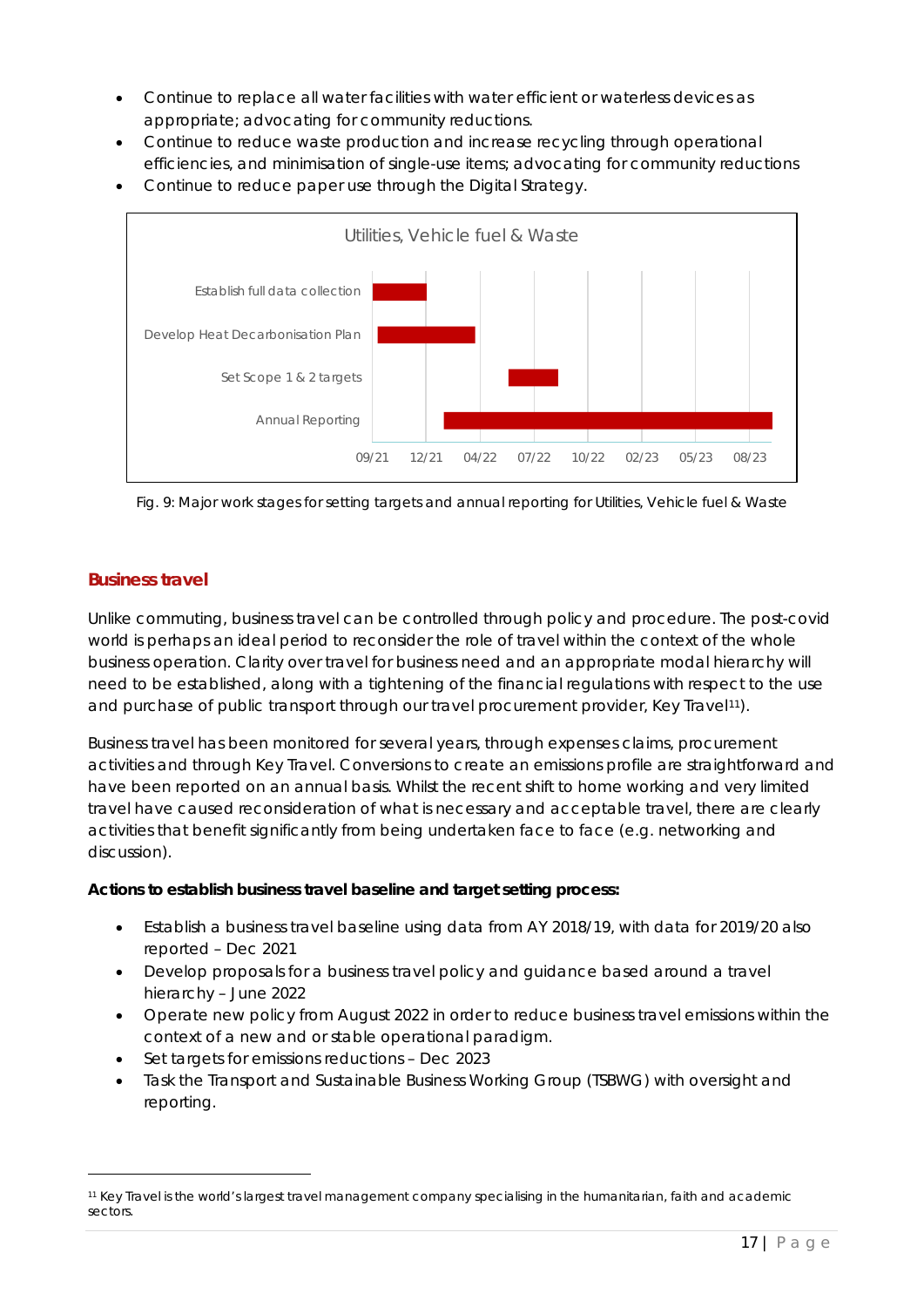- Continue to replace all water facilities with water efficient or waterless devices as appropriate; advocating for community reductions.
- Continue to reduce waste production and increase recycling through operational efficiencies, and minimisation of single-use items; advocating for community reductions
- Continue to reduce paper use through the Digital Strategy.



Fig. 9: Major work stages for setting targets and annual reporting for Utilities, Vehicle fuel & Waste

#### **Business travel**

Unlike commuting, business travel can be controlled through policy and procedure. The post-covid world is perhaps an ideal period to reconsider the role of travel within the context of the whole business operation. Clarity over travel for business need and an appropriate modal hierarchy will need to be established, along with a tightening of the financial regulations with respect to the use and purchase of public transport through our travel procurement provider, Key Travel[11\)](#page-16-0).

Business travel has been monitored for several years, through expenses claims, procurement activities and through Key Travel. Conversions to create an emissions profile are straightforward and have been reported on an annual basis. Whilst the recent shift to home working and very limited travel have caused reconsideration of what is necessary and acceptable travel, there are clearly activities that benefit significantly from being undertaken face to face (e.g. networking and discussion).

#### *Actions to establish business travel baseline and target setting process:*

- Establish a business travel baseline using data from AY 2018/19, with data for 2019/20 also reported – Dec 2021
- Develop proposals for a business travel policy and guidance based around a travel hierarchy – June 2022
- Operate new policy from August 2022 in order to reduce business travel emissions within the context of a new and or stable operational paradigm.
- Set targets for emissions reductions Dec 2023
- Task the Transport and Sustainable Business Working Group (TSBWG) with oversight and reporting.

<span id="page-16-0"></span><sup>11</sup> Key Travel is the world's largest travel management company specialising in the humanitarian, faith and academic sectors.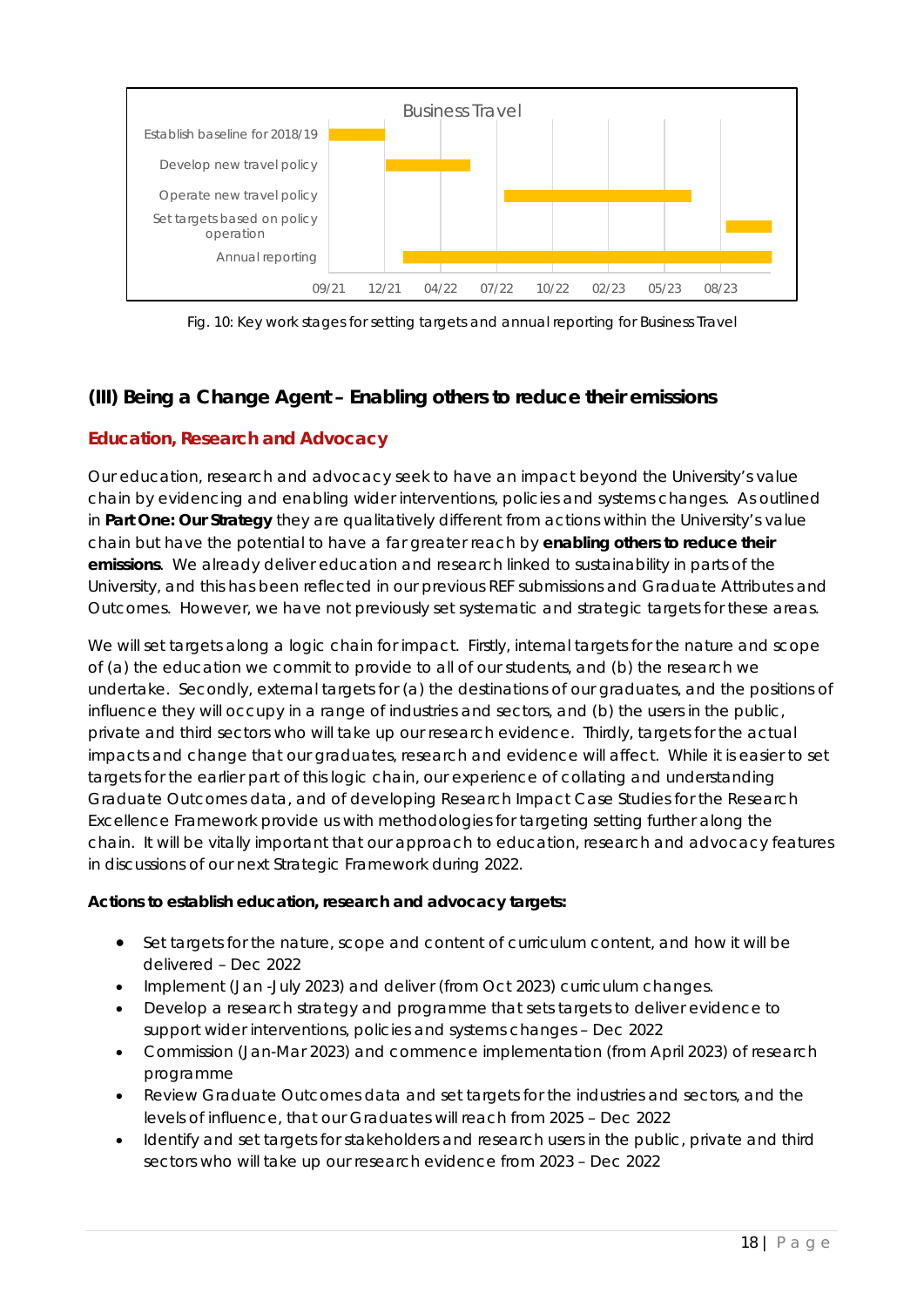

Fig. 10: Key work stages for setting targets and annual reporting for Business Travel

# *(III) Being a Change Agent – Enabling others to reduce their emissions*

### **Education, Research and Advocacy**

Our education, research and advocacy seek to have an impact beyond the University's value chain by evidencing and enabling wider interventions, policies and systems changes. As outlined in **Part One: Our Strategy** they are qualitatively different from actions within the University's value chain but have the potential to have a far greater reach by **enabling others to reduce their emissions**. We already deliver education and research linked to sustainability in parts of the University, and this has been reflected in our previous REF submissions and Graduate Attributes and Outcomes. However, we have not previously set systematic and strategic targets for these areas.

We will set targets along a logic chain for impact. Firstly, internal targets for the nature and scope of (a) the education we commit to provide to all of our students, and (b) the research we undertake. Secondly, external targets for (a) the destinations of our graduates, and the positions of influence they will occupy in a range of industries and sectors, and (b) the users in the public, private and third sectors who will take up our research evidence. Thirdly, targets for the actual impacts and change that our graduates, research and evidence will affect. While it is easier to set targets for the earlier part of this logic chain, our experience of collating and understanding Graduate Outcomes data, and of developing Research Impact Case Studies for the Research Excellence Framework provide us with methodologies for targeting setting further along the chain. It will be vitally important that our approach to education, research and advocacy features in discussions of our next Strategic Framework during 2022.

#### *Actions to establish education, research and advocacy targets:*

- Set targets for the nature, scope and content of curriculum content, and how it will be delivered – Dec 2022
- Implement (Jan -July 2023) and deliver (from Oct 2023) curriculum changes.
- Develop a research strategy and programme that sets targets to deliver evidence to support wider interventions, policies and systems changes – Dec 2022
- Commission (Jan-Mar 2023) and commence implementation (from April 2023) of research programme
- Review Graduate Outcomes data and set targets for the industries and sectors, and the levels of influence, that our Graduates will reach from 2025 – Dec 2022
- Identify and set targets for stakeholders and research users in the public, private and third sectors who will take up our research evidence from 2023 – Dec 2022